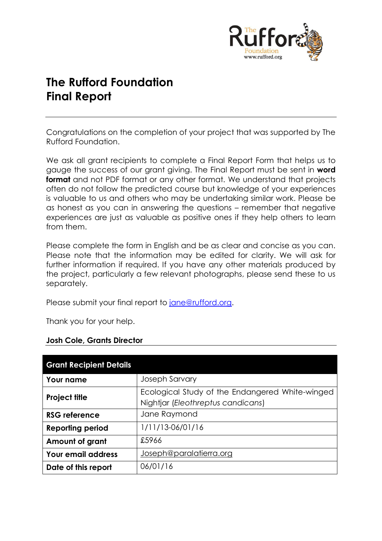

# **The Rufford Foundation Final Report**

Congratulations on the completion of your project that was supported by The Rufford Foundation.

We ask all grant recipients to complete a Final Report Form that helps us to gauge the success of our grant giving. The Final Report must be sent in **word format** and not PDF format or any other format. We understand that projects often do not follow the predicted course but knowledge of your experiences is valuable to us and others who may be undertaking similar work. Please be as honest as you can in answering the questions – remember that negative experiences are just as valuable as positive ones if they help others to learn from them.

Please complete the form in English and be as clear and concise as you can. Please note that the information may be edited for clarity. We will ask for further information if required. If you have any other materials produced by the project, particularly a few relevant photographs, please send these to us separately.

Please submit your final report to [jane@rufford.org.](mailto:jane@rufford.org)

Thank you for your help.

| <b>Josh Cole, Grants Director</b> |  |  |  |  |
|-----------------------------------|--|--|--|--|
|-----------------------------------|--|--|--|--|

| <b>Grant Recipient Details</b> |                                                                                      |
|--------------------------------|--------------------------------------------------------------------------------------|
| <b>Your name</b>               | <b>Joseph Sarvary</b>                                                                |
| <b>Project title</b>           | Ecological Study of the Endangered White-winged<br>Nightjar (Eleothreptus candicans) |
| <b>RSG reference</b>           | Jane Raymond                                                                         |
| <b>Reporting period</b>        | 1/11/13-06/01/16                                                                     |
| Amount of grant                | £5966                                                                                |
| <b>Your email address</b>      | Joseph@paralatierra.org                                                              |
| Date of this report            | 06/01/16                                                                             |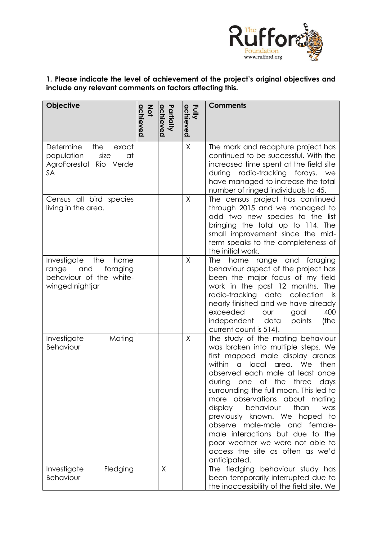

# **1. Please indicate the level of achievement of the project's original objectives and include any relevant comments on factors affecting this.**

| <b>Objective</b>                                                                                     | <b>Not</b><br>achieved | Partially<br>achieved | Fully<br>achieved | <b>Comments</b>                                                                                                                                                                                                                                                                                                                                                                                                                                                                                                                                        |
|------------------------------------------------------------------------------------------------------|------------------------|-----------------------|-------------------|--------------------------------------------------------------------------------------------------------------------------------------------------------------------------------------------------------------------------------------------------------------------------------------------------------------------------------------------------------------------------------------------------------------------------------------------------------------------------------------------------------------------------------------------------------|
| Determine<br>the<br>exact<br>population<br>size<br>at<br>AgroForestal Rio<br>Verde<br>SA             |                        |                       | X                 | The mark and recapture project has<br>continued to be successful. With the<br>increased time spent at the field site<br>during radio-tracking forays, we<br>have managed to increase the total<br>number of ringed individuals to 45.                                                                                                                                                                                                                                                                                                                  |
| Census all bird species<br>living in the area.                                                       |                        |                       | $\mathsf{X}$      | The census project has continued<br>through 2015 and we managed to<br>add two new species to the list<br>bringing the total up to 114. The<br>small improvement since the mid-<br>term speaks to the completeness of<br>the initial work.                                                                                                                                                                                                                                                                                                              |
| Investigate<br>the<br>home<br>and<br>foraging<br>range<br>behaviour of the white-<br>winged nightjar |                        |                       | X                 | The<br>home range and foraging<br>behaviour aspect of the project has<br>been the major focus of my field<br>work in the past 12 months. The<br>radio-tracking data collection is<br>nearly finished and we have already<br>exceeded<br>400<br>our<br>goal<br>data<br>(the<br>independent<br>points<br>current count is 514).                                                                                                                                                                                                                          |
| Mating<br>Investigate<br>Behaviour                                                                   |                        |                       | $\mathsf{X}$      | The study of the mating behaviour<br>was broken into multiple steps. We<br>first mapped male display arenas<br>within<br>local area. We<br>then<br>$\alpha$<br>observed each male at least once<br>of the three<br>during one<br>days<br>surrounding the full moon. This led to<br>more observations about mating<br>than<br>display<br>behaviour<br>was<br>previously known. We hoped to<br>observe male-male and female-<br>male interactions but due to the<br>poor weather we were not able to<br>access the site as often as we'd<br>anticipated. |
| Fledging<br>Investigate<br>Behaviour                                                                 |                        | X                     |                   | The fledging behaviour study has<br>been temporarily interrupted due to<br>the inaccessibility of the field site. We                                                                                                                                                                                                                                                                                                                                                                                                                                   |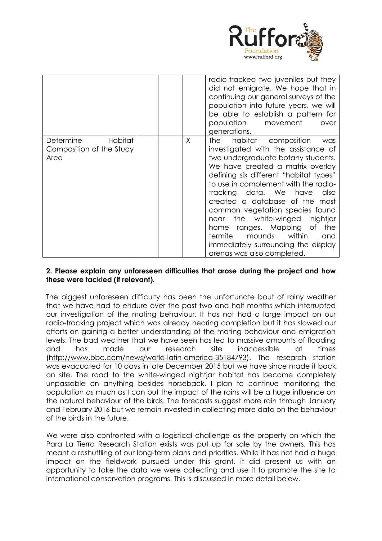

|                                                          |         | radio-tracked two juveniles but they<br>did not emigrate. We hope that in<br>continuing our general surveys of the<br>population into future years, we will<br>be able to establish a pattern for<br>population<br>movement                                                                                                                                                                                                                                                                                                         |
|----------------------------------------------------------|---------|-------------------------------------------------------------------------------------------------------------------------------------------------------------------------------------------------------------------------------------------------------------------------------------------------------------------------------------------------------------------------------------------------------------------------------------------------------------------------------------------------------------------------------------|
|                                                          |         | over<br>generations.                                                                                                                                                                                                                                                                                                                                                                                                                                                                                                                |
| Habitat<br>Determine<br>Composition of the Study<br>Area | $\sf X$ | habitat composition<br>The<br>was<br>investigated with the assistance of<br>two undergraduate botany students.<br>We have created a matrix overlay<br>defining six different "habitat types"<br>to use in complement with the radio-<br>tracking data. We have<br>also<br>created a database of the most<br>common vegetation species found<br>the white-winged<br>nightjar<br>near<br>the<br>ranges. Mapping of<br>home<br>termite<br>within<br>mounds<br>and<br>immediately surrounding the display<br>arenas was also completed. |

## **2. Please explain any unforeseen difficulties that arose during the project and how these were tackled (if relevant).**

The biggest unforeseen difficulty has been the unfortunate bout of rainy weather that we have had to endure over the past two and half months which interrupted our investigation of the mating behaviour. It has not had a large impact on our radio-tracking project which was already nearing completion but it has slowed our efforts on gaining a better understanding of the mating behaviour and emigration levels. The bad weather that we have seen has led to massive amounts of flooding and has made our research site inaccessible at times [\(http://www.bbc.com/news/world-latin-america-35184793\)](http://www.bbc.com/news/world-latin-america-35184793). The research station was evacuated for 10 days in late December 2015 but we have since made it back on site. The road to the white-winged nightjar habitat has become completely unpassable on anything besides horseback. I plan to continue monitoring the population as much as I can but the impact of the rains will be a huge influence on the natural behaviour of the birds. The forecasts suggest more rain through January and February 2016 but we remain invested in collecting more data on the behaviour of the birds in the future.

We were also confronted with a logistical challenge as the property on which the Para La Tierra Research Station exists was put up for sale by the owners. This has meant a reshuffling of our long-term plans and priorities. While it has not had a huge impact on the fieldwork pursued under this grant, it did present us with an opportunity to take the data we were collecting and use it to promote the site to international conservation programs. This is discussed in more detail below.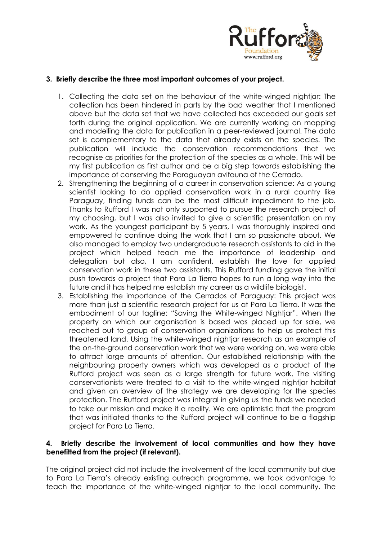

## **3. Briefly describe the three most important outcomes of your project.**

- 1. Collecting the data set on the behaviour of the white-winged nightjar: The collection has been hindered in parts by the bad weather that I mentioned above but the data set that we have collected has exceeded our goals set forth during the original application. We are currently working on mapping and modelling the data for publication in a peer-reviewed journal. The data set is complementary to the data that already exists on the species. The publication will include the conservation recommendations that we recognise as priorities for the protection of the species as a whole. This will be my first publication as first author and be a big step towards establishing the importance of conserving the Paraguayan avifauna of the Cerrado.
- 2. Strengthening the beginning of a career in conservation science: As a young scientist looking to do applied conservation work in a rural country like Paraguay, finding funds can be the most difficult impediment to the job. Thanks to Rufford I was not only supported to pursue the research project of my choosing, but I was also invited to give a scientific presentation on my work. As the youngest participant by 5 years, I was thoroughly inspired and empowered to continue doing the work that I am so passionate about. We also managed to employ two undergraduate research assistants to aid in the project which helped teach me the importance of leadership and delegation but also, I am confident, establish the love for applied conservation work in these two assistants. This Rufford funding gave the initial push towards a project that Para La Tierra hopes to run a long way into the future and it has helped me establish my career as a wildlife biologist.
- 3. Establishing the importance of the Cerrados of Paraguay: This project was more than just a scientific research project for us at Para La Tierra. It was the embodiment of our tagline: "Saving the White-winged Nightjar". When the property on which our organisation is based was placed up for sale, we reached out to group of conservation organizations to help us protect this threatened land. Using the white-winged nightjar research as an example of the on-the-ground conservation work that we were working on, we were able to attract large amounts of attention. Our established relationship with the neighbouring property owners which was developed as a product of the Rufford project was seen as a large strength for future work. The visiting conservationists were treated to a visit to the white-winged nightjar habitat and given an overview of the strategy we are developing for the species protection. The Rufford project was integral in giving us the funds we needed to take our mission and make it a reality. We are optimistic that the program that was initiated thanks to the Rufford project will continue to be a flagship project for Para La Tierra.

### **4. Briefly describe the involvement of local communities and how they have benefitted from the project (if relevant).**

The original project did not include the involvement of the local community but due to Para La Tierra's already existing outreach programme, we took advantage to teach the importance of the white-winged nightjar to the local community. The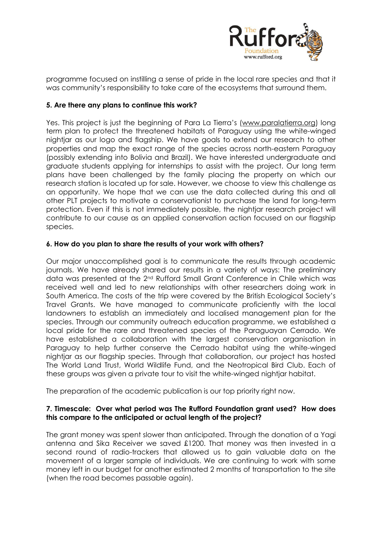

programme focused on instilling a sense of pride in the local rare species and that it was community's responsibility to take care of the ecosystems that surround them.

## **5. Are there any plans to continue this work?**

Yes. This project is just the beginning of Para La Tierra's ([www.paralatierra.org\)](http://www.paralatierra.org/) long term plan to protect the threatened habitats of Paraguay using the white-winged nightjar as our logo and flagship. We have goals to extend our research to other properties and map the exact range of the species across north-eastern Paraguay (possibly extending into Bolivia and Brazil). We have interested undergraduate and graduate students applying for internships to assist with the project. Our long term plans have been challenged by the family placing the property on which our research station is located up for sale. However, we choose to view this challenge as an opportunity. We hope that we can use the data collected during this and all other PLT projects to motivate a conservationist to purchase the land for long-term protection. Even if this is not immediately possible, the nightjar research project will contribute to our cause as an applied conservation action focused on our flagship species.

### **6. How do you plan to share the results of your work with others?**

Our major unaccomplished goal is to communicate the results through academic journals. We have already shared our results in a variety of ways: The preliminary data was presented at the 2nd Rufford Small Grant Conference in Chile which was received well and led to new relationships with other researchers doing work in South America. The costs of the trip were covered by the British Ecological Society's Travel Grants. We have managed to communicate proficiently with the local landowners to establish an immediately and localised management plan for the species. Through our community outreach education programme, we established a local pride for the rare and threatened species of the Paraguayan Cerrado. We have established a collaboration with the largest conservation organisation in Paraguay to help further conserve the Cerrado habitat using the white-winged nightjar as our flagship species. Through that collaboration, our project has hosted The World Land Trust, World Wildlife Fund, and the Neotropical Bird Club. Each of these groups was given a private tour to visit the white-winged nightjar habitat.

The preparation of the academic publication is our top priority right now.

#### **7. Timescale: Over what period was The Rufford Foundation grant used? How does this compare to the anticipated or actual length of the project?**

The grant money was spent slower than anticipated. Through the donation of a Yagi antenna and Sika Receiver we saved £1200. That money was then invested in a second round of radio-trackers that allowed us to gain valuable data on the movement of a larger sample of individuals. We are continuing to work with some money left in our budget for another estimated 2 months of transportation to the site (when the road becomes passable again).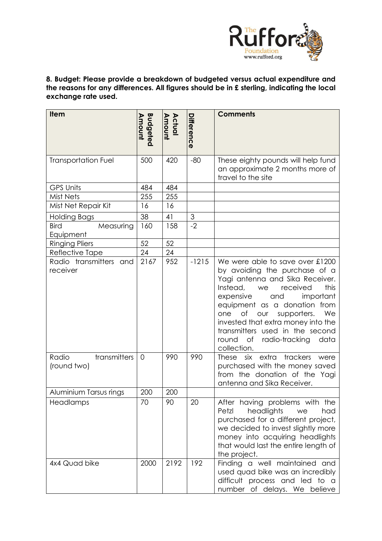

## **8. Budget: Please provide a breakdown of budgeted versus actual expenditure and the reasons for any differences. All figures should be in £ sterling, indicating the local exchange rate used.**

| <b>Item</b>                           | <b>Budgeted</b><br>Amount | Amount<br>Actual | Differenc<br>ወ            | <b>Comments</b>                                                                                                                                                                                                                                                                                                                                                                             |
|---------------------------------------|---------------------------|------------------|---------------------------|---------------------------------------------------------------------------------------------------------------------------------------------------------------------------------------------------------------------------------------------------------------------------------------------------------------------------------------------------------------------------------------------|
| <b>Transportation Fuel</b>            | 500                       | 420              | $-80$                     | These eighty pounds will help fund<br>an approximate 2 months more of<br>travel to the site                                                                                                                                                                                                                                                                                                 |
| <b>GPS Units</b>                      | 484                       | 484              |                           |                                                                                                                                                                                                                                                                                                                                                                                             |
| <b>Mist Nets</b>                      | 255                       | 255              |                           |                                                                                                                                                                                                                                                                                                                                                                                             |
| Mist Net Repair Kit                   | 16                        | 16               |                           |                                                                                                                                                                                                                                                                                                                                                                                             |
| <b>Holding Bags</b>                   | 38                        | 41               | $\ensuremath{\mathsf{3}}$ |                                                                                                                                                                                                                                                                                                                                                                                             |
| <b>Bird</b><br>Measuring<br>Equipment | 160                       | 158              | $-2$                      |                                                                                                                                                                                                                                                                                                                                                                                             |
| <b>Ringing Pliers</b>                 | 52                        | 52               |                           |                                                                                                                                                                                                                                                                                                                                                                                             |
| Reflective Tape                       | 24                        | 24               |                           |                                                                                                                                                                                                                                                                                                                                                                                             |
| Radio transmitters and<br>receiver    | 2167                      | 952              | $-1215$                   | We were able to save over £1200<br>by avoiding the purchase of a<br>Yagi antenna and Sika Receiver.<br>Instead,<br>this<br>received<br>we<br>expensive<br>important<br>and<br>equipment as a donation from<br>$\circ$ f<br>We<br>supporters.<br>one<br>our<br>invested that extra money into the<br>transmitters used in the second<br>round<br>of<br>radio-tracking<br>data<br>collection. |
| transmitters<br>Radio<br>(round two)  | $\overline{O}$            | 990              | 990                       | extra<br>trackers<br>These<br>six<br>were<br>purchased with the money saved<br>from the donation of the Yagi<br>antenna and Sika Receiver.                                                                                                                                                                                                                                                  |
| Aluminium Tarsus rings                | 200                       | 200              |                           |                                                                                                                                                                                                                                                                                                                                                                                             |
| Headlamps                             | 70                        | 90               | 20                        | After having problems with the<br>headlights<br>Petzl<br>had<br>we<br>purchased for a different project,<br>we decided to invest slightly more<br>money into acquiring headlights<br>that would last the entire length of<br>the project.                                                                                                                                                   |
| 4x4 Quad bike                         | 2000                      | 2192             | 192                       | Finding a well maintained and<br>used quad bike was an incredibly<br>difficult process and led to a<br>number of delays. We believe                                                                                                                                                                                                                                                         |